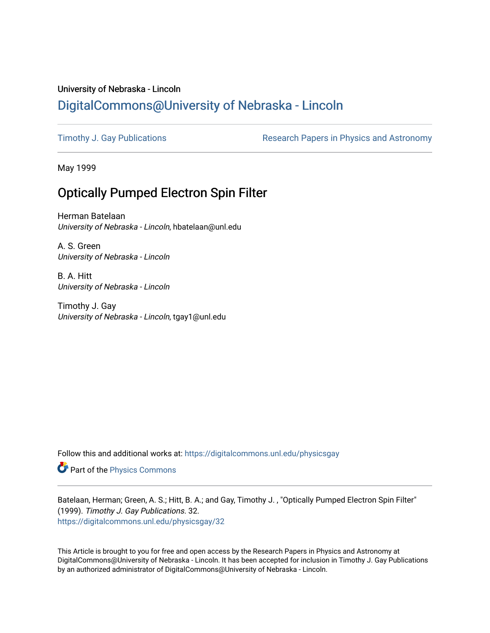## University of Nebraska - Lincoln [DigitalCommons@University of Nebraska - Lincoln](https://digitalcommons.unl.edu/)

[Timothy J. Gay Publications](https://digitalcommons.unl.edu/physicsgay) **Research Papers in Physics and Astronomy** 

May 1999

## Optically Pumped Electron Spin Filter

Herman Batelaan University of Nebraska - Lincoln, hbatelaan@unl.edu

A. S. Green University of Nebraska - Lincoln

B. A. Hitt University of Nebraska - Lincoln

Timothy J. Gay University of Nebraska - Lincoln, tgay1@unl.edu

Follow this and additional works at: [https://digitalcommons.unl.edu/physicsgay](https://digitalcommons.unl.edu/physicsgay?utm_source=digitalcommons.unl.edu%2Fphysicsgay%2F32&utm_medium=PDF&utm_campaign=PDFCoverPages)

Part of the [Physics Commons](http://network.bepress.com/hgg/discipline/193?utm_source=digitalcommons.unl.edu%2Fphysicsgay%2F32&utm_medium=PDF&utm_campaign=PDFCoverPages)

Batelaan, Herman; Green, A. S.; Hitt, B. A.; and Gay, Timothy J. , "Optically Pumped Electron Spin Filter" (1999). Timothy J. Gay Publications. 32. [https://digitalcommons.unl.edu/physicsgay/32](https://digitalcommons.unl.edu/physicsgay/32?utm_source=digitalcommons.unl.edu%2Fphysicsgay%2F32&utm_medium=PDF&utm_campaign=PDFCoverPages) 

This Article is brought to you for free and open access by the Research Papers in Physics and Astronomy at DigitalCommons@University of Nebraska - Lincoln. It has been accepted for inclusion in Timothy J. Gay Publications by an authorized administrator of DigitalCommons@University of Nebraska - Lincoln.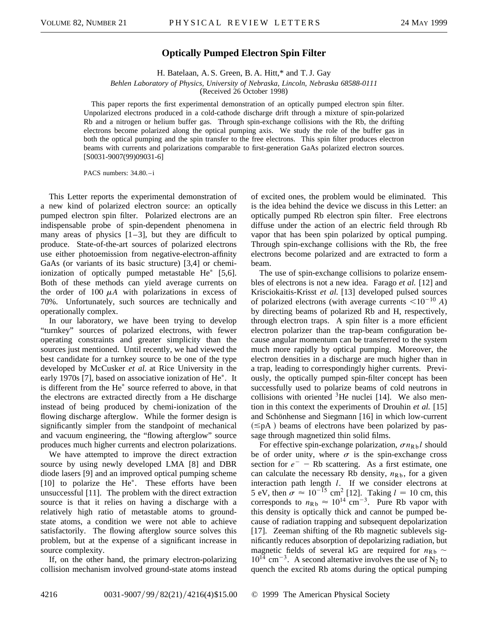## **Optically Pumped Electron Spin Filter**

H. Batelaan, A. S. Green, B. A. Hitt,\* and T. J. Gay

*Behlen Laboratory of Physics, University of Nebraska, Lincoln, Nebraska 68588-0111*

(Received 26 October 1998)

This paper reports the first experimental demonstration of an optically pumped electron spin filter. Unpolarized electrons produced in a cold-cathode discharge drift through a mixture of spin-polarized Rb and a nitrogen or helium buffer gas. Through spin-exchange collisions with the Rb, the drifting electrons become polarized along the optical pumping axis. We study the role of the buffer gas in both the optical pumping and the spin transfer to the free electrons. This spin filter produces electron beams with currents and polarizations comparable to first-generation GaAs polarized electron sources. [S0031-9007(99)09031-6]

PACS numbers: 34.80.-i

This Letter reports the experimental demonstration of a new kind of polarized electron source: an optically pumped electron spin filter. Polarized electrons are an indispensable probe of spin-dependent phenomena in many areas of physics  $[1-3]$ , but they are difficult to produce. State-of-the-art sources of polarized electrons use either photoemission from negative-electron-affinity GaAs (or variants of its basic structure) [3,4] or chemiionization of optically pumped metastable  $He^*$  [5,6]. Both of these methods can yield average currents on the order of 100  $\mu$ A with polarizations in excess of 70%. Unfortunately, such sources are technically and operationally complex.

In our laboratory, we have been trying to develop "turnkey" sources of polarized electrons, with fewer operating constraints and greater simplicity than the sources just mentioned. Until recently, we had viewed the best candidate for a turnkey source to be one of the type developed by McCusker *et al.* at Rice University in the early 1970s [7], based on associative ionization of  $He^*$ . It is different from the  $He^*$  source referred to above, in that the electrons are extracted directly from a He discharge instead of being produced by chemi-ionization of the flowing discharge afterglow. While the former design is significantly simpler from the standpoint of mechanical and vacuum engineering, the "flowing afterglow" source produces much higher currents and electron polarizations.

We have attempted to improve the direct extraction source by using newly developed LMA [8] and DBR diode lasers [9] and an improved optical pumping scheme  $[10]$  to polarize the He<sup>\*</sup>. These efforts have been unsuccessful [11]. The problem with the direct extraction source is that it relies on having a discharge with a relatively high ratio of metastable atoms to groundstate atoms, a condition we were not able to achieve satisfactorily. The flowing afterglow source solves this problem, but at the expense of a significant increase in source complexity.

If, on the other hand, the primary electron-polarizing collision mechanism involved ground-state atoms instead of excited ones, the problem would be eliminated. This is the idea behind the device we discuss in this Letter: an optically pumped Rb electron spin filter. Free electrons diffuse under the action of an electric field through Rb vapor that has been spin polarized by optical pumping. Through spin-exchange collisions with the Rb, the free electrons become polarized and are extracted to form a beam.

The use of spin-exchange collisions to polarize ensembles of electrons is not a new idea. Farago *et al.* [12] and Krisciokaitis-Krisst *et al.* [13] developed pulsed sources of polarized electrons (with average currents  $\leq 10^{-10}$  *A*) by directing beams of polarized Rb and H, respectively, through electron traps. A spin filter is a more efficient electron polarizer than the trap-beam configuration because angular momentum can be transferred to the system much more rapidly by optical pumping. Moreover, the electron densities in a discharge are much higher than in a trap, leading to correspondingly higher currents. Previously, the optically pumped spin-filter concept has been successfully used to polarize beams of cold neutrons in collisions with oriented  $3$ He nuclei [14]. We also mention in this context the experiments of Drouhin *et al.* [15] and Schönhense and Siegmann [16] in which low-current  $(\leq pA)$  beams of electrons have been polarized by passage through magnetized thin solid films.

For effective spin-exchange polarization,  $\sigma n_{Rb}l$  should be of order unity, where  $\sigma$  is the spin-exchange cross section for  $e^-$  – Rb scattering. As a first estimate, one can calculate the necessary Rb density,  $n_{Rb}$ , for a given interaction path length *l*. If we consider electrons at 5 eV, then  $\sigma \approx 10^{-15}$  cm<sup>2</sup> [12]. Taking  $l = 10$  cm, this corresponds to  $n_{Rb} \approx 10^{14}$  cm<sup>-3</sup>. Pure Rb vapor with this density is optically thick and cannot be pumped because of radiation trapping and subsequent depolarization [17]. Zeeman shifting of the Rb magnetic sublevels significantly reduces absorption of depolarizing radiation, but magnetic fields of several kG are required for  $n_{\text{Rb}} \sim$  $10^{14}$  cm<sup>-3</sup>. A second alternative involves the use of N<sub>2</sub> to quench the excited Rb atoms during the optical pumping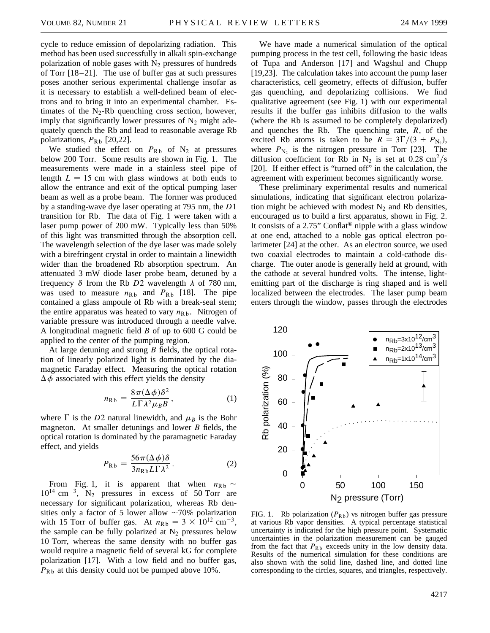cycle to reduce emission of depolarizing radiation. This method has been used successfully in alkali spin-exchange polarization of noble gases with  $N<sub>2</sub>$  pressures of hundreds of Torr [18–21]. The use of buffer gas at such pressures poses another serious experimental challenge insofar as it is necessary to establish a well-defined beam of electrons and to bring it into an experimental chamber. Estimates of the N<sub>2</sub>-Rb quenching cross section, however, imply that significantly lower pressures of  $N_2$  might adequately quench the Rb and lead to reasonable average Rb polarizations,  $P_{Rb}$  [20,22].

We studied the effect on  $P_{Rb}$  of  $N_2$  at pressures below 200 Torr. Some results are shown in Fig. 1. The measurements were made in a stainless steel pipe of length  $L = 15$  cm with glass windows at both ends to allow the entrance and exit of the optical pumping laser beam as well as a probe beam. The former was produced by a standing-wave dye laser operating at 795 nm, the *D*1 transition for Rb. The data of Fig. 1 were taken with a laser pump power of 200 mW. Typically less than 50% of this light was transmitted through the absorption cell. The wavelength selection of the dye laser was made solely with a birefringent crystal in order to maintain a linewidth wider than the broadened Rb absorption spectrum. An attenuated 3 mW diode laser probe beam, detuned by a frequency  $\delta$  from the Rb *D*2 wavelength  $\lambda$  of 780 nm, was used to measure  $n_{Rb}$  and  $P_{Rb}$  [18]. The pipe contained a glass ampoule of Rb with a break-seal stem; the entire apparatus was heated to vary  $n_{Rb}$ . Nitrogen of variable pressure was introduced through a needle valve. A longitudinal magnetic field *B* of up to 600 G could be applied to the center of the pumping region.

At large detuning and strong *B* fields, the optical rotation of linearly polarized light is dominated by the diamagnetic Faraday effect. Measuring the optical rotation  $\Delta \phi$  associated with this effect yields the density

$$
n_{\text{Rb}} = \frac{8\pi(\Delta\phi)\delta^2}{L\Gamma\lambda^2\mu_B B},\tag{1}
$$

where  $\Gamma$  is the *D*2 natural linewidth, and  $\mu_B$  is the Bohr magneton. At smaller detunings and lower *B* fields, the optical rotation is dominated by the paramagnetic Faraday effect, and yields

$$
P_{\text{Rb}} = \frac{56\pi(\Delta\phi)\delta}{3n_{\text{Rb}}L\Gamma\lambda^2}.
$$
 (2)

From Fig. 1, it is apparent that when  $n_{Rb} \sim$  $10^{14}$  cm<sup>-3</sup>, N<sub>2</sub> pressures in excess of 50 Torr are necessary for significant polarization, whereas Rb densities only a factor of 5 lower allow  $\sim$ 70% polarization with 15 Torr of buffer gas. At  $n_{Rb} = 3 \times 10^{12}$  cm<sup>-3</sup>, the sample can be fully polarized at  $N_2$  pressures below 10 Torr, whereas the same density with no buffer gas would require a magnetic field of several kG for complete polarization [17]. With a low field and no buffer gas,  $P_{Rb}$  at this density could not be pumped above 10%.

We have made a numerical simulation of the optical pumping process in the test cell, following the basic ideas of Tupa and Anderson [17] and Wagshul and Chupp [19,23]. The calculation takes into account the pump laser characteristics, cell geometry, effects of diffusion, buffer gas quenching, and depolarizing collisions. We find qualitative agreement (see Fig. 1) with our experimental results if the buffer gas inhibits diffusion to the walls (where the Rb is assumed to be completely depolarized) and quenches the Rb. The quenching rate, *R*, of the excited Rb atoms is taken to be  $R = 3\Gamma/(3 + P_{N_2})$ , where  $P_{N_2}$  is the nitrogen pressure in Torr [23]. The diffusion coefficient for Rb in N<sub>2</sub> is set at 0.28 cm<sup>2</sup>/s [20]. If either effect is "turned off" in the calculation, the agreement with experiment becomes significantly worse.

These preliminary experimental results and numerical simulations, indicating that significant electron polarization might be achieved with modest  $N_2$  and Rb densities, encouraged us to build a first apparatus, shown in Fig. 2. It consists of a 2.75" Conflat<sup>®</sup> nipple with a glass window at one end, attached to a noble gas optical electron polarimeter [24] at the other. As an electron source, we used two coaxial electrodes to maintain a cold-cathode discharge. The outer anode is generally held at ground, with the cathode at several hundred volts. The intense, lightemitting part of the discharge is ring shaped and is well localized between the electrodes. The laser pump beam enters through the window, passes through the electrodes



FIG. 1. Rb polarization  $(P_{Rb})$  vs nitrogen buffer gas pressure at various Rb vapor densities. A typical percentage statistical uncertainty is indicated for the high pressure point. Systematic uncertainties in the polarization measurement can be gauged from the fact that  $P_{Rb}$  exceeds unity in the low density data. Results of the numerical simulation for these conditions are also shown with the solid line, dashed line, and dotted line corresponding to the circles, squares, and triangles, respectively.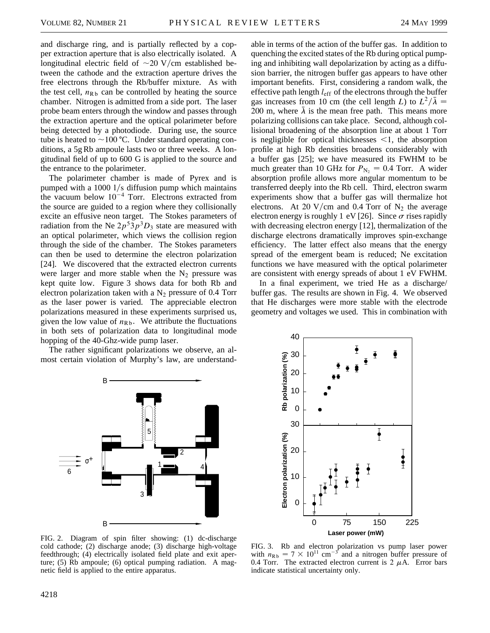and discharge ring, and is partially reflected by a copper extraction aperture that is also electrically isolated. A longitudinal electric field of  $\sim$ 20 V/cm established between the cathode and the extraction aperture drives the free electrons through the Rb/buffer mixture. As with the test cell,  $n_{\text{Rb}}$  can be controlled by heating the source chamber. Nitrogen is admitted from a side port. The laser probe beam enters through the window and passes through the extraction aperture and the optical polarimeter before being detected by a photodiode. During use, the source tube is heated to  $\sim$ 100 °C. Under standard operating conditions, a 5g Rb ampoule lasts two or three weeks. A longitudinal field of up to 600 G is applied to the source and the entrance to the polarimeter.

The polarimeter chamber is made of Pyrex and is pumped with a  $1000$   $1/s$  diffusion pump which maintains the vacuum below  $10^{-4}$  Torr. Electrons extracted from the source are guided to a region where they collisionally excite an effusive neon target. The Stokes parameters of radiation from the Ne  $2p^53p^3D_3$  state are measured with an optical polarimeter, which views the collision region through the side of the chamber. The Stokes parameters can then be used to determine the electron polarization [24]. We discovered that the extracted electron currents were larger and more stable when the  $N_2$  pressure was kept quite low. Figure 3 shows data for both Rb and electron polarization taken with a  $N_2$  pressure of 0.4 Torr as the laser power is varied. The appreciable electron polarizations measured in these experiments surprised us, given the low value of  $n_{Rb}$ . We attribute the fluctuations in both sets of polarization data to longitudinal mode hopping of the 40-Ghz-wide pump laser.

The rather significant polarizations we observe, an almost certain violation of Murphy's law, are understand-

able in terms of the action of the buffer gas. In addition to quenching the excited states of the Rb during optical pumping and inhibiting wall depolarization by acting as a diffusion barrier, the nitrogen buffer gas appears to have other important benefits. First, considering a random walk, the effective path length *l*eff of the electrons through the buffer gas increases from 10 cm (the cell length *L*) to  $L^2/\overline{\lambda} =$ 200 m, where  $\bar{\lambda}$  is the mean free path. This means more polarizing collisions can take place. Second, although collisional broadening of the absorption line at about 1 Torr is negligible for optical thicknesses  $\leq 1$ , the absorption profile at high Rb densities broadens considerably with a buffer gas [25]; we have measured its FWHM to be much greater than 10 GHz for  $P_{N_2} = 0.4$  Torr. A wider absorption profile allows more angular momentum to be transferred deeply into the Rb cell. Third, electron swarm experiments show that a buffer gas will thermalize hot electrons. At 20 V/cm and 0.4 Torr of  $N_2$  the average electron energy is roughly 1 eV [26]. Since  $\sigma$  rises rapidly with decreasing electron energy [12], thermalization of the discharge electrons dramatically improves spin-exchange efficiency. The latter effect also means that the energy spread of the emergent beam is reduced; Ne excitation functions we have measured with the optical polarimeter are consistent with energy spreads of about 1 eV FWHM.

In a final experiment, we tried He as a discharge/ buffer gas. The results are shown in Fig. 4. We observed that He discharges were more stable with the electrode geometry and voltages we used. This in combination with





FIG. 2. Diagram of spin filter showing: (1) dc-discharge cold cathode; (2) discharge anode; (3) discharge high-voltage feedthrough; (4) electrically isolated field plate and exit aperture; (5) Rb ampoule; (6) optical pumping radiation. A magnetic field is applied to the entire apparatus.

FIG. 3. Rb and electron polarization vs pump laser power with  $n_{Rb} = 7 \times 10^{11}$  cm<sup>-3</sup> and a nitrogen buffer pressure of 0.4 Torr. The extracted electron current is 2  $\mu$ A. Error bars indicate statistical uncertainty only.